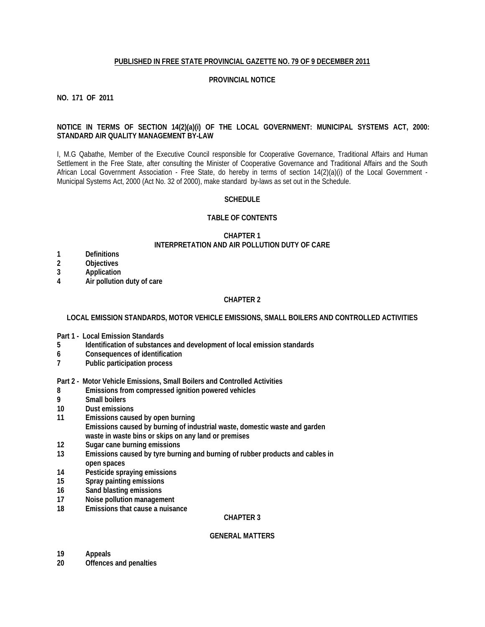#### **PUBLISHED IN FREE STATE PROVINCIAL GAZETTE NO. 79 OF 9 DECEMBER 2011**

#### **PROVINCIAL NOTICE**

**NO. 171 OF 2011** 

# **NOTICE IN TERMS OF SECTION 14(2)(a)(i) OF THE LOCAL GOVERNMENT: MUNICIPAL SYSTEMS ACT, 2000: STANDARD AIR QUALITY MANAGEMENT BY-LAW**

I, M.G Qabathe, Member of the Executive Council responsible for Cooperative Governance, Traditional Affairs and Human Settlement in the Free State, after consulting the Minister of Cooperative Governance and Traditional Affairs and the South African Local Government Association - Free State, do hereby in terms of section 14(2)(a)(i) of the Local Government - Municipal Systems Act, 2000 (Act No. 32 of 2000), make standard by-laws as set out in the Schedule.

#### **SCHEDULE**

#### **TABLE OF CONTENTS**

# **CHAPTER 1 INTERPRETATION AND AIR POLLUTION DUTY OF CARE**

- **1 Definitions**
- **2 Objectives**
- **3 Application**
- **4 Air pollution duty of care**

# **CHAPTER 2**

# **LOCAL EMISSION STANDARDS, MOTOR VEHICLE EMISSIONS, SMALL BOILERS AND CONTROLLED ACTIVITIES**

- **Part 1 Local Emission Standards**
- **5 Identification of substances and development of local emission standards**
- **6 Consequences of identification**
- **7 Public participation process**

**Part 2 - Motor Vehicle Emissions, Small Boilers and Controlled Activities**

- **8 Emissions from compressed ignition powered vehicles**
- **9 Small boilers**
- **10 Dust emissions**
- **11 Emissions caused by open burning Emissions caused by burning of industrial waste, domestic waste and garden waste in waste bins or skips on any land or premises**
- **12 Sugar cane burning emissions**
- **13 Emissions caused by tyre burning and burning of rubber products and cables in open spaces**
- **14 Pesticide spraying emissions**
- **15 Spray painting emissions**
- **16 Sand blasting emissions**
- **17 Noise pollution management**
- **18 Emissions that cause a nuisance**

# **CHAPTER 3**

#### **GENERAL MATTERS**

- **19 Appeals**
- **20 Offences and penalties**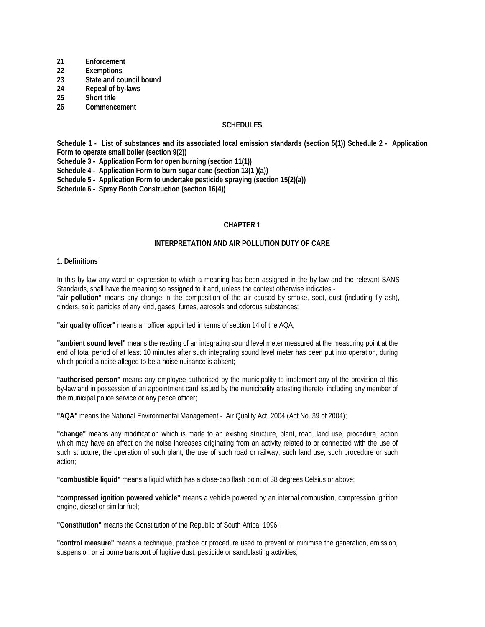- **21 Enforcement**
- **22 Exemptions**
- **23 State and council bound**
- **24 Repeal of by-laws**
- **25 Short title**
- **26 Commencement**

# **SCHEDULES**

**Schedule 1 - List of substances and its associated local emission standards (section 5(1)) Schedule 2 - Application Form to operate small boiler (section 9(2))** 

**Schedule 3 - Application Form for open burning (section 11(1))** 

**Schedule 4 - Application Form to burn sugar cane (section 13(1 )(a))** 

**Schedule 5 - Application Form to undertake pesticide spraying (section 15(2)(a))** 

**Schedule 6 - Spray Booth Construction (section 16(4))** 

#### **CHAPTER 1**

#### **INTERPRETATION AND AIR POLLUTION DUTY OF CARE**

#### **1. Definitions**

In this by-law any word or expression to which a meaning has been assigned in the by-law and the relevant SANS Standards, shall have the meaning so assigned to it and, unless the context otherwise indicates - **"air pollution"** means any change in the composition of the air caused by smoke, soot, dust (including fly ash), cinders, solid particles of any kind, gases, fumes, aerosols and odorous substances;

**"air quality officer"** means an officer appointed in terms of section 14 of the AQA;

**"ambient sound level"** means the reading of an integrating sound level meter measured at the measuring point at the end of total period of at least 10 minutes after such integrating sound level meter has been put into operation, during which period a noise alleged to be a noise nuisance is absent;

**"authorised person"** means any employee authorised by the municipality to implement any of the provision of this by-law and in possession of an appointment card issued by the municipality attesting thereto, including any member of the municipal police service or any peace officer;

**"AQA"** means the National Environmental Management - Air Quality Act, 2004 (Act No. 39 of 2004);

**"change"** means any modification which is made to an existing structure, plant, road, land use, procedure, action which may have an effect on the noise increases originating from an activity related to or connected with the use of such structure, the operation of such plant, the use of such road or railway, such land use, such procedure or such action;

**"combustible liquid"** means a liquid which has a close-cap flash point of 38 degrees Celsius or above;

**"compressed ignition powered vehicle"** means a vehicle powered by an internal combustion, compression ignition engine, diesel or similar fuel;

**"Constitution"** means the Constitution of the Republic of South Africa, 1996;

**"control measure"** means a technique, practice or procedure used to prevent or minimise the generation, emission, suspension or airborne transport of fugitive dust, pesticide or sandblasting activities;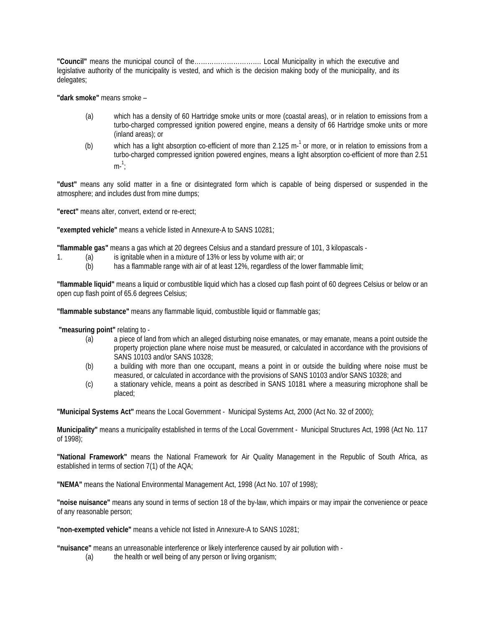**"Council"** means the municipal council of the…………………………. Local Municipality in which the executive and legislative authority of the municipality is vested, and which is the decision making body of the municipality, and its delegates;

**"dark smoke"** means smoke –

- (a) which has a density of 60 Hartridge smoke units or more (coastal areas), or in relation to emissions from a turbo-charged compressed ignition powered engine, means a density of 66 Hartridge smoke units or more (inland areas); or
- (b) which has a light absorption co-efficient of more than 2.125 m- $^1$  or more, or in relation to emissions from a turbo-charged compressed ignition powered engines, means a light absorption co-efficient of more than 2.51  $m^{-1}$ ;

**"dust"** means any solid matter in a fine or disintegrated form which is capable of being dispersed or suspended in the atmosphere; and includes dust from mine dumps;

**"erect"** means alter, convert, extend or re-erect;

**"exempted vehicle"** means a vehicle listed in Annexure-A to SANS 10281;

**"flammable gas"** means a gas which at 20 degrees Celsius and a standard pressure of 101, 3 kilopascals -

- 1. (a) is ignitable when in a mixture of 13% or less by volume with air; or
	- (b) has a flammable range with air of at least 12%, regardless of the lower flammable limit;

**"flammable liquid"** means a liquid or combustible liquid which has a closed cup flash point of 60 degrees Celsius or below or an open cup flash point of 65.6 degrees Celsius;

**"flammable substance"** means any flammable liquid, combustible liquid or flammable gas;

**"measuring point"** relating to -

- (a) a piece of land from which an alleged disturbing noise emanates, or may emanate, means a point outside the property projection plane where noise must be measured, or calculated in accordance with the provisions of SANS 10103 and/or SANS 10328;
- (b) a building with more than one occupant, means a point in or outside the building where noise must be measured, or calculated in accordance with the provisions of SANS 10103 and/or SANS 10328; and
- (c) a stationary vehicle, means a point as described in SANS 10181 where a measuring microphone shall be placed;

**"Municipal Systems Act"** means the Local Government - Municipal Systems Act, 2000 (Act No. 32 of 2000);

**Municipality"** means a municipality established in terms of the Local Government - Municipal Structures Act, 1998 (Act No. 117 of 1998);

**"National Framework"** means the National Framework for Air Quality Management in the Republic of South Africa, as established in terms of section 7(1) of the AQA;

**"NEMA"** means the National Environmental Management Act, 1998 (Act No. 107 of 1998);

**"noise nuisance"** means any sound in terms of section 18 of the by-law, which impairs or may impair the convenience or peace of any reasonable person;

**"non-exempted vehicle"** means a vehicle not listed in Annexure-A to SANS 10281;

**"nuisance"** means an unreasonable interference or likely interference caused by air pollution with -

(a) the health or well being of any person or living organism;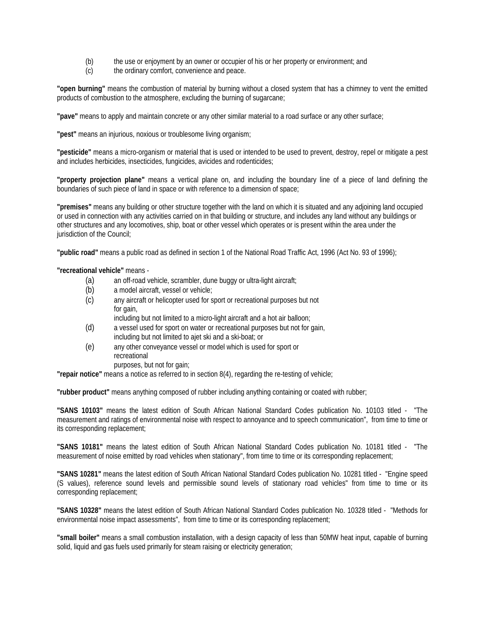- (b) the use or enjoyment by an owner or occupier of his or her property or environment; and
- (c) the ordinary comfort, convenience and peace.

**"open burning"** means the combustion of material by burning without a closed system that has a chimney to vent the emitted products of combustion to the atmosphere, excluding the burning of sugarcane;

**"pave"** means to apply and maintain concrete or any other similar material to a road surface or any other surface;

**"pest"** means an injurious, noxious or troublesome living organism;

**"pesticide"** means a micro-organism or material that is used or intended to be used to prevent, destroy, repel or mitigate a pest and includes herbicides, insecticides, fungicides, avicides and rodenticides;

**"property projection plane"** means a vertical plane on, and including the boundary line of a piece of land defining the boundaries of such piece of land in space or with reference to a dimension of space;

**"premises"** means any building or other structure together with the land on which it is situated and any adjoining land occupied or used in connection with any activities carried on in that building or structure, and includes any land without any buildings or other structures and any locomotives, ship, boat or other vessel which operates or is present within the area under the jurisdiction of the Council;

**"public road"** means a public road as defined in section 1 of the National Road Traffic Act, 1996 (Act No. 93 of 1996);

**"recreational vehicle"** means -

- (a) an off-road vehicle, scrambler, dune buggy or ultra-light aircraft;
- (b) a model aircraft, vessel or vehicle;
- (c) any aircraft or helicopter used for sport or recreational purposes but not for gain,
	- including but not limited to a micro-light aircraft and a hot air balloon;
- (d) a vessel used for sport on water or recreational purposes but not for gain, including but not limited to ajet ski and a ski-boat; or
- (e) any other conveyance vessel or model which is used for sport or recreational purposes, but not for gain;

**"repair notice"** means a notice as referred to in section 8(4), regarding the re-testing of vehicle;

**"rubber product"** means anything composed of rubber including anything containing or coated with rubber;

**"SANS 10103"** means the latest edition of South African National Standard Codes publication No. 10103 titled - "The measurement and ratings of environmental noise with respect to annoyance and to speech communication", from time to time or its corresponding replacement;

**"SANS 10181"** means the latest edition of South African National Standard Codes publication No. 10181 titled - "The measurement of noise emitted by road vehicles when stationary", from time to time or its corresponding replacement;

**"SANS 10281"** means the latest edition of South African National Standard Codes publication No. 10281 titled - "Engine speed (S values), reference sound levels and permissible sound levels of stationary road vehicles" from time to time or its corresponding replacement;

**"SANS 10328"** means the latest edition of South African National Standard Codes publication No. 10328 titled - "Methods for environmental noise impact assessments", from time to time or its corresponding replacement;

**"small boiler"** means a small combustion installation, with a design capacity of less than 50MW heat input, capable of burning solid, liquid and gas fuels used primarily for steam raising or electricity generation;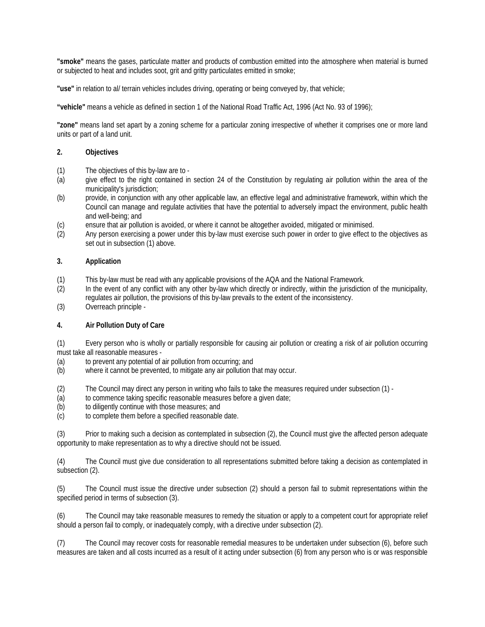**"smoke"** means the gases, particulate matter and products of combustion emitted into the atmosphere when material is burned or subjected to heat and includes soot, grit and gritty particulates emitted in smoke;

**"use"** in relation to al/ terrain vehicles includes driving, operating or being conveyed by, that vehicle;

**"vehicle"** means a vehicle as defined in section 1 of the National Road Traffic Act, 1996 (Act No. 93 of 1996);

**"zone"** means land set apart by a zoning scheme for a particular zoning irrespective of whether it comprises one or more land units or part of a land unit.

# **2. Objectives**

- (1) The objectives of this by-law are to -
- (a) give effect to the right contained in section 24 of the Constitution by regulating air pollution within the area of the municipality's jurisdiction;
- (b) provide, in conjunction with any other applicable law, an effective legal and administrative framework, within which the Council can manage and regulate activities that have the potential to adversely impact the environment, public health and well-being; and
- (c) ensure that air pollution is avoided, or where it cannot be altogether avoided, mitigated or minimised.
- (2) Any person exercising a power under this by-law must exercise such power in order to give effect to the objectives as set out in subsection (1) above.

# **3. Application**

- (1) This by-law must be read with any applicable provisions of the AQA and the National Framework.
- (2) In the event of any conflict with any other by-law which directly or indirectly, within the jurisdiction of the municipality, regulates air pollution, the provisions of this by-law prevails to the extent of the inconsistency.
- (3) Overreach principle -

# **4. Air Pollution Duty of Care**

(1) Every person who is wholly or partially responsible for causing air pollution or creating a risk of air pollution occurring must take all reasonable measures -

- 
- (a) to prevent any potential of air pollution from occurring; and<br>(b) where it cannot be prevented, to mitigate any air pollution the where it cannot be prevented, to mitigate any air pollution that may occur.
- (2) The Council may direct any person in writing who fails to take the measures required under subsection (1) -
- (a) to commence taking specific reasonable measures before a given date;
- (b) to diligently continue with those measures; and
- (c) to complete them before a specified reasonable date.

(3) Prior to making such a decision as contemplated in subsection (2), the Council must give the affected person adequate opportunity to make representation as to why a directive should not be issued.

(4) The Council must give due consideration to all representations submitted before taking a decision as contemplated in subsection (2).

(5) The Council must issue the directive under subsection (2) should a person fail to submit representations within the specified period in terms of subsection (3).

(6) The Council may take reasonable measures to remedy the situation or apply to a competent court for appropriate relief should a person fail to comply, or inadequately comply, with a directive under subsection (2).

(7) The Council may recover costs for reasonable remedial measures to be undertaken under subsection (6), before such measures are taken and all costs incurred as a result of it acting under subsection (6) from any person who is or was responsible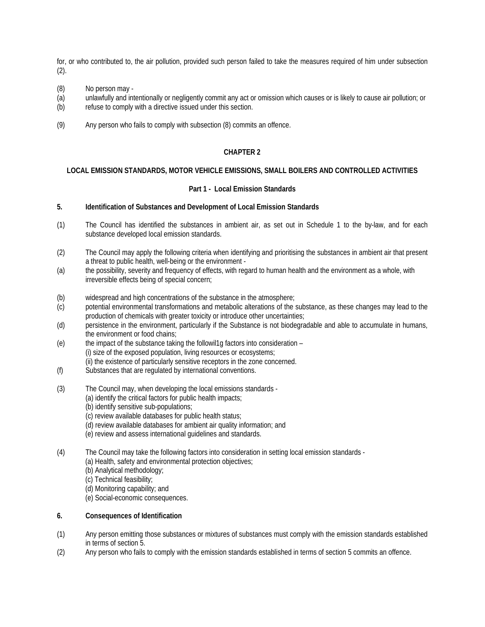for, or who contributed to, the air pollution, provided such person failed to take the measures required of him under subsection  $(2)$ .

- (8) No person may -
- (a) unlawfully and intentionally or negligently commit any act or omission which causes or is likely to cause air pollution; or
- (b) refuse to comply with a directive issued under this section.
- (9) Any person who fails to comply with subsection (8) commits an offence.

# **CHAPTER 2**

# **LOCAL EMISSION STANDARDS, MOTOR VEHICLE EMISSIONS, SMALL BOILERS AND CONTROLLED ACTIVITIES**

# **Part 1 - Local Emission Standards**

# **5. Identification of Substances and Development of Local Emission Standards**

- (1) The Council has identified the substances in ambient air, as set out in Schedule 1 to the by-law, and for each substance developed local emission standards.
- (2) The Council may apply the following criteria when identifying and prioritising the substances in ambient air that present a threat to public health, well-being or the environment -
- (a) the possibility, severity and frequency of effects, with regard to human health and the environment as a whole, with irreversible effects being of special concern;
- (b) widespread and high concentrations of the substance in the atmosphere;
- (c) potential environmental transformations and metabolic alterations of the substance, as these changes may lead to the production of chemicals with greater toxicity or introduce other uncertainties;
- (d) persistence in the environment, particularly if the Substance is not biodegradable and able to accumulate in humans, the environment or food chains;
- (e) the impact of the substance taking the followil1g factors into consideration (i) size of the exposed population, living resources or ecosystems; (ii) the existence of particularly sensitive receptors in the zone concerned.
- (f) Substances that are regulated by international conventions.
- (3) The Council may, when developing the local emissions standards
	- (a) identify the critical factors for public health impacts;
		- (b) identify sensitive sub-populations;
		- (c) review available databases for public health status;
		- (d) review available databases for ambient air quality information; and
		- (e) review and assess international guidelines and standards.
- (4) The Council may take the following factors into consideration in setting local emission standards
	- (a) Health, safety and environmental protection objectives;
	- (b) Analytical methodology;
	- (c) Technical feasibility;
	- (d) Monitoring capability; and
	- (e) Social-economic consequences.

# **6. Consequences of Identification**

- (1) Any person emitting those substances or mixtures of substances must comply with the emission standards established in terms of section 5.
- (2) Any person who fails to comply with the emission standards established in terms of section 5 commits an offence.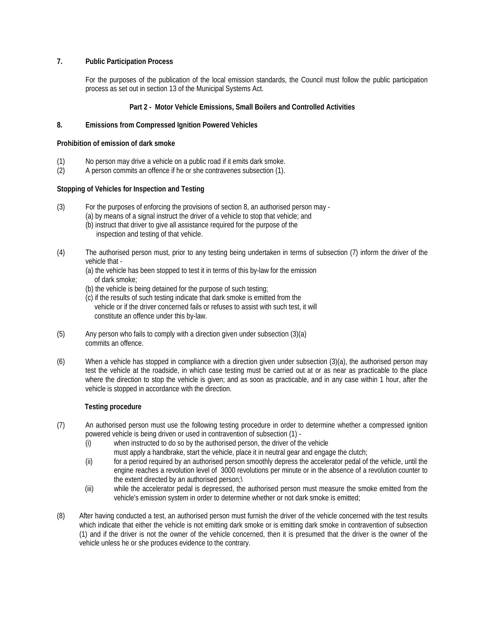# **7. Public Participation Process**

For the purposes of the publication of the local emission standards, the Council must follow the public participation process as set out in section 13 of the Municipal Systems Act.

# **Part 2 - Motor Vehicle Emissions, Small Boilers and Controlled Activities**

# **8. Emissions from Compressed Ignition Powered Vehicles**

# **Prohibition of emission of dark smoke**

- (1) No person may drive a vehicle on a public road if it emits dark smoke.<br>(2) A person commits an offence if he or she contravenes subsection (1).
- (2) A person commits an offence if he or she contravenes subsection (1).

# **Stopping of Vehicles for Inspection and Testing**

- (3) For the purposes of enforcing the provisions of section 8, an authorised person may
	- (a) by means of a signal instruct the driver of a vehicle to stop that vehicle; and (b) instruct that driver to give all assistance required for the purpose of the
		- inspection and testing of that vehicle.
- (4) The authorised person must, prior to any testing being undertaken in terms of subsection (7) inform the driver of the vehicle that -
	- (a) the vehicle has been stopped to test it in terms of this by-law for the emission of dark smoke;
	- (b) the vehicle is being detained for the purpose of such testing;
	- (c) if the results of such testing indicate that dark smoke is emitted from the vehicle or if the driver concerned fails or refuses to assist with such test, it will constitute an offence under this by-law.
- (5) Any person who fails to comply with a direction given under subsection (3)(a) commits an offence.
- (6) When a vehicle has stopped in compliance with a direction given under subsection (3)(a), the authorised person may test the vehicle at the roadside, in which case testing must be carried out at or as near as practicable to the place where the direction to stop the vehicle is given; and as soon as practicable, and in any case within 1 hour, after the vehicle is stopped in accordance with the direction.

# **Testing procedure**

- (7) An authorised person must use the following testing procedure in order to determine whether a compressed ignition powered vehicle is being driven or used in contravention of subsection (1) -
	- (i) when instructed to do so by the authorised person, the driver of the vehicle must apply a handbrake, start the vehicle, place it in neutral gear and engage the clutch;
	- (ii) for a period required by an authorised person smoothly depress the accelerator pedal of the vehicle, until the engine reaches a revolution level of 3000 revolutions per minute or in the absence of a revolution counter to the extent directed by an authorised person;\
	- (iii) while the accelerator pedal is depressed, the authorised person must measure the smoke emitted from the vehicle's emission system in order to determine whether or not dark smoke is emitted;
- (8) After having conducted a test, an authorised person must furnish the driver of the vehicle concerned with the test results which indicate that either the vehicle is not emitting dark smoke or is emitting dark smoke in contravention of subsection (1) and if the driver is not the owner of the vehicle concerned, then it is presumed that the driver is the owner of the vehicle unless he or she produces evidence to the contrary.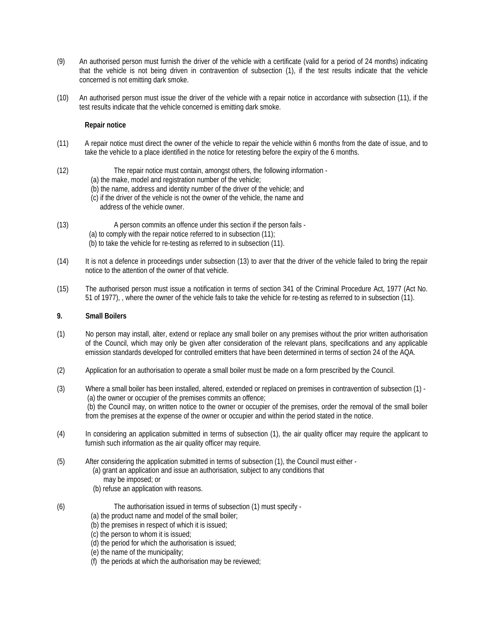- (9) An authorised person must furnish the driver of the vehicle with a certificate (valid for a period of 24 months) indicating that the vehicle is not being driven in contravention of subsection (1), if the test results indicate that the vehicle concerned is not emitting dark smoke.
- (10) An authorised person must issue the driver of the vehicle with a repair notice in accordance with subsection (11), if the test results indicate that the vehicle concerned is emitting dark smoke.

# **Repair notice**

- (11) A repair notice must direct the owner of the vehicle to repair the vehicle within 6 months from the date of issue, and to take the vehicle to a place identified in the notice for retesting before the expiry of the 6 months.
- (12) The repair notice must contain, amongst others, the following information
	- (a) the make, model and registration number of the vehicle;
	- (b) the name, address and identity number of the driver of the vehicle; and
	- (c) if the driver of the vehicle is not the owner of the vehicle, the name and address of the vehicle owner.
- (13) A person commits an offence under this section if the person fails (a) to comply with the repair notice referred to in subsection (11); (b) to take the vehicle for re-testing as referred to in subsection (11).
- (14) It is not a defence in proceedings under subsection (13) to aver that the driver of the vehicle failed to bring the repair notice to the attention of the owner of that vehicle.
- (15) The authorised person must issue a notification in terms of section 341 of the Criminal Procedure Act, 1977 (Act No. 51 of 1977), , where the owner of the vehicle fails to take the vehicle for re-testing as referred to in subsection (11).

# **9. Small Boilers**

- (1) No person may install, alter, extend or replace any small boiler on any premises without the prior written authorisation of the Council, which may only be given after consideration of the relevant plans, specifications and any applicable emission standards developed for controlled emitters that have been determined in terms of section 24 of the AQA.
- (2) Application for an authorisation to operate a small boiler must be made on a form prescribed by the Council.
- (3) Where a small boiler has been installed, altered, extended or replaced on premises in contravention of subsection (1) (a) the owner or occupier of the premises commits an offence; (b) the Council may, on written notice to the owner or occupier of the premises, order the removal of the small boiler from the premises at the expense of the owner or occupier and within the period stated in the notice.
- (4) In considering an application submitted in terms of subsection (1), the air quality officer may require the applicant to furnish such information as the air quality officer may require.
- (5) After considering the application submitted in terms of subsection (1), the Council must either
	- (a) grant an application and issue an authorisation, subject to any conditions that may be imposed; or
	- (b) refuse an application with reasons.
- (6) The authorisation issued in terms of subsection (1) must specify
	- (a) the product name and model of the small boiler;
	- (b) the premises in respect of which it is issued;
	- (c) the person to whom it is issued;
	- (d) the period for which the authorisation is issued;
	- (e) the name of the municipality;
	- (f) the periods at which the authorisation may be reviewed;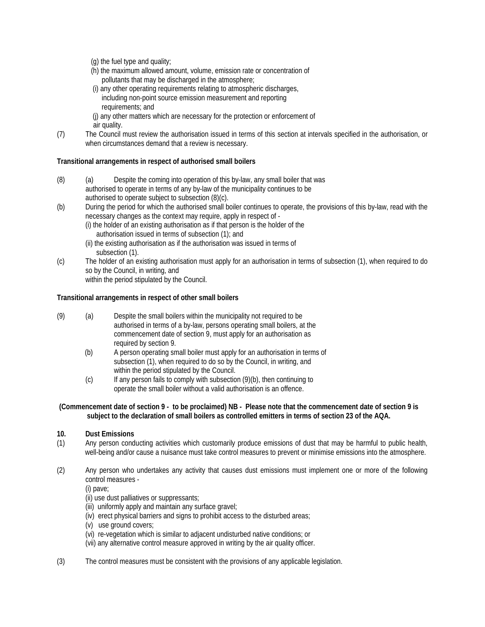- (g) the fuel type and quality;
- (h) the maximum allowed amount, volume, emission rate or concentration of pollutants that may be discharged in the atmosphere;
- (i) any other operating requirements relating to atmospheric discharges, including non-point source emission measurement and reporting requirements; and
- (j) any other matters which are necessary for the protection or enforcement of air quality.
- (7) The Council must review the authorisation issued in terms of this section at intervals specified in the authorisation, or when circumstances demand that a review is necessary.

# **Transitional arrangements in respect of authorised small boilers**

- (8) (a) Despite the coming into operation of this by-law, any small boiler that was authorised to operate in terms of any by-law of the municipality continues to be authorised to operate subject to subsection (8)(c).
- (b) During the period for which the authorised small boiler continues to operate, the provisions of this by-law, read with the necessary changes as the context may require, apply in respect of -
	- (i) the holder of an existing authorisation as if that person is the holder of the authorisation issued in terms of subsection (1); and
	- (ii) the existing authorisation as if the authorisation was issued in terms of subsection (1).
- (c) The holder of an existing authorisation must apply for an authorisation in terms of subsection (1), when required to do so by the Council, in writing, and within the period stipulated by the Council.

# **Transitional arrangements in respect of other small boilers**

- (9) (a) Despite the small boilers within the municipality not required to be authorised in terms of a by-law, persons operating small boilers, at the commencement date of section 9, must apply for an authorisation as required by section 9.
	- (b) A person operating small boiler must apply for an authorisation in terms of subsection (1), when required to do so by the Council, in writing, and within the period stipulated by the Council.
	- (c) If any person fails to comply with subsection (9)(b), then continuing to operate the small boiler without a valid authorisation is an offence.

# **(Commencement date of section 9 - to be proclaimed) NB - Please note that the commencement date of section 9 is subject to the declaration of small boilers as controlled emitters in terms of section 23 of the AQA.**

# **10. Dust Emissions**

- (1) Any person conducting activities which customarily produce emissions of dust that may be harmful to public health, well-being and/or cause a nuisance must take control measures to prevent or minimise emissions into the atmosphere.
- (2) Any person who undertakes any activity that causes dust emissions must implement one or more of the following control measures -

(i) pave;

- (ii) use dust palliatives or suppressants;
- (iii) uniformly apply and maintain any surface gravel;
- (iv) erect physical barriers and signs to prohibit access to the disturbed areas;
- (v) use ground covers;
- (vi) re-vegetation which is similar to adjacent undisturbed native conditions; or
- (vii) any alternative control measure approved in writing by the air quality officer.
- (3) The control measures must be consistent with the provisions of any applicable legislation.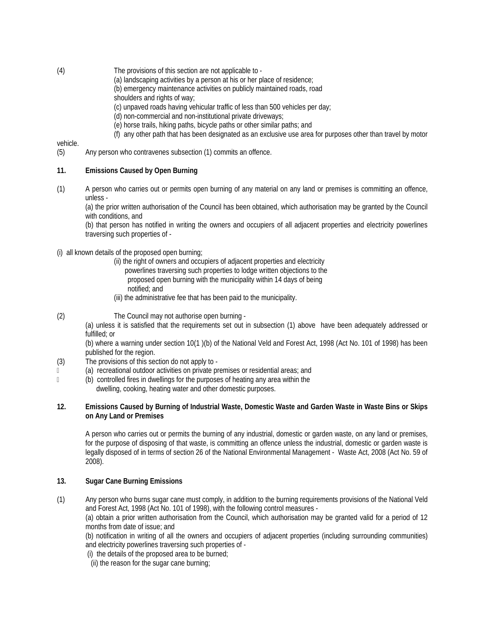- (4) The provisions of this section are not applicable to
	- (a) landscaping activities by a person at his or her place of residence;
	- (b) emergency maintenance activities on publicly maintained roads, road
		- shoulders and rights of way;
		- (c) unpaved roads having vehicular traffic of less than 500 vehicles per day;
		- (d) non-commercial and non-institutional private driveways;
		- (e) horse trails, hiking paths, bicycle paths or other similar paths; and
	- (f) any other path that has been designated as an exclusive use area for purposes other than travel by motor

# vehicle.

(5) Any person who contravenes subsection (1) commits an offence.

# **11. Emissions Caused by Open Burning**

(1) A person who carries out or permits open burning of any material on any land or premises is committing an offence, unless -

(a) the prior written authorisation of the Council has been obtained, which authorisation may be granted by the Council with conditions, and

(b) that person has notified in writing the owners and occupiers of all adjacent properties and electricity powerlines traversing such properties of -

- (i) all known details of the proposed open burning;
	- (ii) the right of owners and occupiers of adjacent properties and electricity
		- powerlines traversing such properties to lodge written objections to the
		- proposed open burning with the municipality within 14 days of being
		- notified; and
	- (iii) the administrative fee that has been paid to the municipality.
- (2) The Council may not authorise open burning -

(a) unless it is satisfied that the requirements set out in subsection (1) above have been adequately addressed or fulfilled; or

(b) where a warning under section 10(1 )(b) of the National Veld and Forest Act, 1998 (Act No. 101 of 1998) has been published for the region.

- (3) The provisions of this section do not apply to -
- (a) recreational outdoor activities on private premises or residential areas; and
- (b) controlled fires in dwellings for the purposes of heating any area within the dwelling, cooking, heating water and other domestic purposes.

# **12. Emissions Caused by Burning of Industrial Waste, Domestic Waste and Garden Waste in Waste Bins or Skips on Any Land or Premises**

A person who carries out or permits the burning of any industrial, domestic or garden waste, on any land or premises, for the purpose of disposing of that waste, is committing an offence unless the industrial, domestic or garden waste is legally disposed of in terms of section 26 of the National Environmental Management - Waste Act, 2008 (Act No. 59 of 2008).

# **13. Sugar Cane Burning Emissions**

(1) Any person who burns sugar cane must comply, in addition to the burning requirements provisions of the National Veld and Forest Act, 1998 (Act No. 101 of 1998), with the following control measures -

(a) obtain a prior written authorisation from the Council, which authorisation may be granted valid for a period of 12 months from date of issue; and

(b) notification in writing of all the owners and occupiers of adjacent properties (including surrounding communities) and electricity powerlines traversing such properties of -

(i) the details of the proposed area to be burned;

(ii) the reason for the sugar cane burning;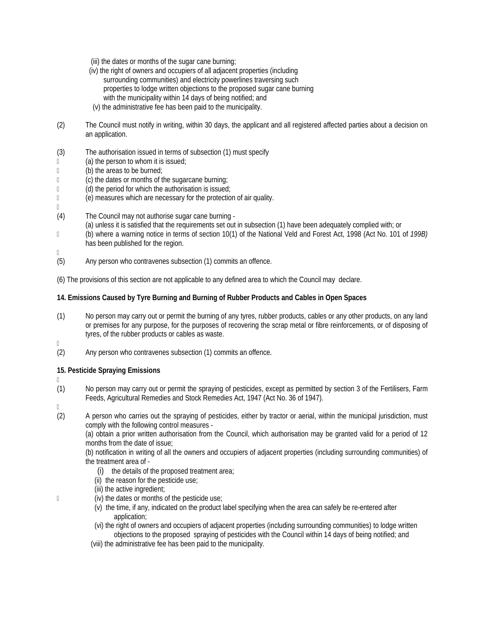- (iii) the dates or months of the sugar cane burning;
- (iv) the right of owners and occupiers of all adjacent properties (including surrounding communities) and electricity powerlines traversing such properties to lodge written objections to the proposed sugar cane burning with the municipality within 14 days of being notified; and
- (v) the administrative fee has been paid to the municipality.
- (2) The Council must notify in writing, within 30 days, the applicant and all registered affected parties about a decision on an application.
- (3) The authorisation issued in terms of subsection (1) must specify
- (a) the person to whom it is issued;
- (b) the areas to be burned;
- (c) the dates or months of the sugarcane burning;
- (d) the period for which the authorisation is issued;
- (e) measures which are necessary for the protection of air quality.
- (4) The Council may not authorise sugar cane burning
	- (a) unless it is satisfied that the requirements set out in subsection (1) have been adequately complied with; or
- (b) where a warning notice in terms of section 10(1) of the National Veld and Forest Act, 1998 (Act No. 101 of *199B)*  has been published for the region.
- $\hfill\Box$

 $\mathbb{R}$ 

- (5) Any person who contravenes subsection (1) commits an offence.
- (6) The provisions of this section are not applicable to any defined area to which the Council may declare.

# **14. Emissions Caused by Tyre Burning and Burning of Rubber Products and Cables in Open Spaces**

- (1) No person may carry out or permit the burning of any tyres, rubber products, cables or any other products, on any land or premises for any purpose, for the purposes of recovering the scrap metal or fibre reinforcements, or of disposing of tyres, of the rubber products or cables as waste.
- $\mathbb{R}$
- (2) Any person who contravenes subsection (1) commits an offence.

# **15. Pesticide Spraying Emissions**

- $\mathbb{R}$
- (1) No person may carry out or permit the spraying of pesticides, except as permitted by section 3 of the Fertilisers, Farm Feeds, Agricultural Remedies and Stock Remedies Act, 1947 (Act No. 36 of 1947).
- $\mathbb{R}$
- (2) A person who carries out the spraying of pesticides, either by tractor or aerial, within the municipal jurisdiction, must comply with the following control measures -

(a) obtain a prior written authorisation from the Council, which authorisation may be granted valid for a period of 12 months from the date of issue;

(b) notification in writing of all the owners and occupiers of adjacent properties (including surrounding communities) of the treatment area of -

- (i) the details of the proposed treatment area;
- (ii) the reason for the pesticide use;
- (iii) the active ingredient;
- (iv) the dates or months of the pesticide use;
	- (v) the time, if any, indicated on the product label specifying when the area can safely be re-entered after application;
	- (vi) the right of owners and occupiers of adjacent properties (including surrounding communities) to lodge written objections to the proposed spraying of pesticides with the Council within 14 days of being notified; and
	- (viii) the administrative fee has been paid to the municipality.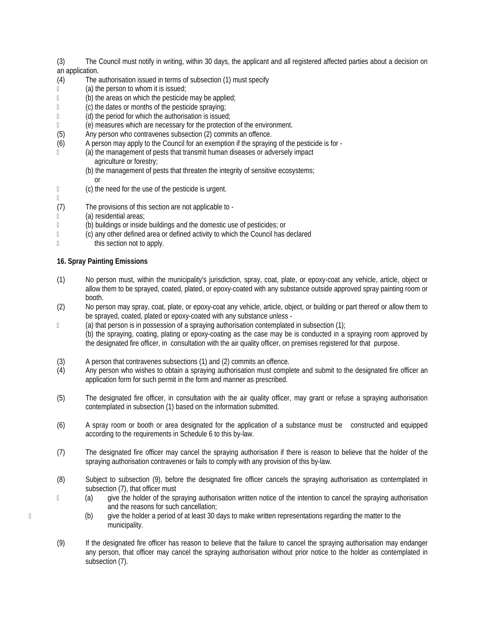(3) The Council must notify in writing, within 30 days, the applicant and all registered affected parties about a decision on an application.

- (4) The authorisation issued in terms of subsection (1) must specify
- (a) the person to whom it is issued;<br>(b) the areas on which the pesticide
- (b) the areas on which the pesticide may be applied;
- (c) the dates or months of the pesticide spraying;
- (d) the period for which the authorisation is issued;
- (e) measures which are necessary for the protection of the environment.
- (5) Any person who contravenes subsection (2) commits an offence.
- (6) A person may apply to the Council for an exemption if the spraying of the pesticide is for -
- (a) the management of pests that transmit human diseases or adversely impact agriculture or forestry;
	- (b) the management of pests that threaten the integrity of sensitive ecosystems;
	- or
- (c) the need for the use of the pesticide is urgent.

# $\mathbb{R}$

- (7) The provisions of this section are not applicable to -
- (a) residential areas;
- (b) buildings or inside buildings and the domestic use of pesticides; or
- (c) any other defined area or defined activity to which the Council has declared
- this section not to apply.

# **16. Spray Painting Emissions**

- (1) No person must, within the municipality's jurisdiction, spray, coat, plate, or epoxy-coat any vehicle, article, object or allow them to be sprayed, coated, plated, or epoxy-coated with any substance outside approved spray painting room or booth.
- (2) No person may spray, coat, plate, or epoxy-coat any vehicle, article, object, or building or part thereof or allow them to be sprayed, coated, plated or epoxy-coated with any substance unless -
- $\Box$  (a) that person is in possession of a spraying authorisation contemplated in subsection (1); (b) the spraying, coating, plating or epoxy-coating as the case may be is conducted in a spraying room approved by the designated fire officer, in consultation with the air quality officer, on premises registered for that purpose.
- (3) A person that contravenes subsections (1) and (2) commits an offence.<br>(4) Any person who wishes to obtain a spraying authorisation must comple
- Any person who wishes to obtain a spraying authorisation must complete and submit to the designated fire officer an application form for such permit in the form and manner as prescribed.
- (5) The designated fire officer, in consultation with the air quality officer, may grant or refuse a spraying authorisation contemplated in subsection (1) based on the information submitted.
- (6) A spray room or booth or area designated for the application of a substance must be constructed and equipped according to the requirements in Schedule 6 to this by-law.
- (7) The designated fire officer may cancel the spraying authorisation if there is reason to believe that the holder of the spraying authorisation contravenes or fails to comply with any provision of this by-law.
- (8) Subject to subsection (9), before the designated fire officer cancels the spraying authorisation as contemplated in subsection (7), that officer must
- (a) give the holder of the spraying authorisation written notice of the intention to cancel the spraying authorisation and the reasons for such cancellation;
- (b) give the holder a period of at least 30 days to make written representations regarding the matter to the municipality.
	- (9) If the designated fire officer has reason to believe that the failure to cancel the spraying authorisation may endanger any person, that officer may cancel the spraying authorisation without prior notice to the holder as contemplated in subsection (7).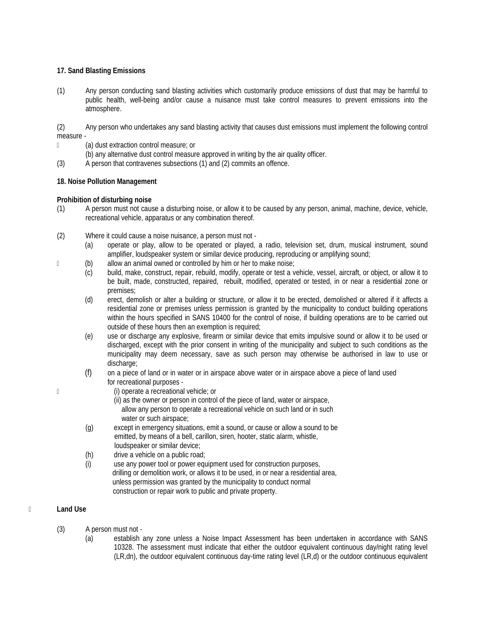# **17. Sand Blasting Emissions**

(1) Any person conducting sand blasting activities which customarily produce emissions of dust that may be harmful to public health, well-being and/or cause a nuisance must take control measures to prevent emissions into the atmosphere.

(2) Any person who undertakes any sand blasting activity that causes dust emissions must implement the following control measure -

- (a) dust extraction control measure; or
	- (b) any alternative dust control measure approved in writing by the air quality officer.
- (3) A person that contravenes subsections (1) and (2) commits an offence.

# **18. Noise Pollution Management**

# **Prohibition of disturbing noise**

- (1) A person must not cause a disturbing noise, or allow it to be caused by any person, animal, machine, device, vehicle, recreational vehicle, apparatus or any combination thereof.
- (2) Where it could cause a noise nuisance, a person must not
	- (a) operate or play, allow to be operated or played, a radio, television set, drum, musical instrument, sound amplifier, loudspeaker system or similar device producing, reproducing or amplifying sound;
- (b) allow an animal owned or controlled by him or her to make noise;
	- (c) build, make, construct, repair, rebuild, modify, operate or test a vehicle, vessel, aircraft, or object, or allow it to be built, made, constructed, repaired, rebuilt, modified, operated or tested, in or near a residential zone or premises;
	- (d) erect, demolish or alter a building or structure, or allow it to be erected, demolished or altered if it affects a residential zone or premises unless permission is granted by the municipality to conduct building operations within the hours specified in SANS 10400 for the control of noise, if building operations are to be carried out outside of these hours then an exemption is required;
	- (e) use or discharge any explosive, firearm or similar device that emits impulsive sound or allow it to be used or discharged, except with the prior consent in writing of the municipality and subject to such conditions as the municipality may deem necessary, save as such person may otherwise be authorised in law to use or discharge:
	- (f) on a piece of land or in water or in airspace above water or in airspace above a piece of land used for recreational purposes -
- (i) operate a recreational vehicle; or
	- (ii) as the owner or person in control of the piece of land, water or airspace, allow any person to operate a recreational vehicle on such land or in such water or such airspace;
	- (g) except in emergency situations, emit a sound, or cause or allow a sound to be emitted, by means of a bell, carillon, siren, hooter, static alarm, whistle, loudspeaker or similar device;<br>(h) drive a vehicle on a public road
	- drive a vehicle on a public road;
	- (i) use any power tool or power equipment used for construction purposes, drilling or demolition work, or allows it to be used, in or near a residential area, unless permission was granted by the municipality to conduct normal construction or repair work to public and private property.

# **Land Use**

- (3) A person must not
	- (a) establish any zone unless a Noise Impact Assessment has been undertaken in accordance with SANS 10328. The assessment must indicate that either the outdoor equivalent continuous day/night rating level (LR,dn), the outdoor equivalent continuous day-time rating level (LR,d) or the outdoor continuous equivalent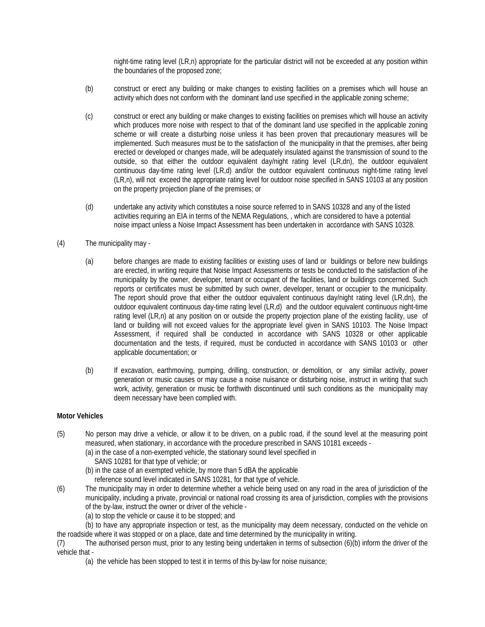night-time rating level (LR,n) appropriate for the particular district will not be exceeded at any position within the boundaries of the proposed zone;

- (b) construct or erect any building or make changes to existing facilities on a premises which will house an activity which does not conform with the dominant land use specified in the applicable zoning scheme;
- (c) construct or erect any building or make changes to existing facilities on premises which will house an activity which produces more noise with respect to that of the dominant land use specified in the applicable zoning scheme or will create a disturbing noise unless it has been proven that precautionary measures will be implemented. Such measures must be to the satisfaction of the municipality in that the premises, after being erected or developed or changes made, will be adequately insulated against the transmission of sound to the outside, so that either the outdoor equivalent day/night rating level (LR,dn), the outdoor equivalent continuous day-time rating level (LR,d) and/or the outdoor equivalent continuous night-time rating level (LR,n), will not exceed the appropriate rating level for outdoor noise specified in SANS 10103 at any position on the property projection plane of the premises; or
- (d) undertake any activity which constitutes a noise source referred to in SANS 10328 and any of the listed activities requiring an EIA in terms of the NEMA Regulations, , which are considered to have a potential noise impact unless a Noise Impact Assessment has been undertaken in accordance with SANS 10328.

# (4) The municipality may -

- (a) before changes are made to existing facilities or existing uses of land or buildings or before new buildings are erected, in writing require that Noise Impact Assessments or tests be conducted to the satisfaction of ihe municipality by the owner, developer, tenant or occupant of the facilities, land or buildings concerned. Such reports or certificates must be submitted by such owner, developer, tenant or occupier to the municipality. The report should prove that either the outdoor equivalent continuous day/night rating level (LR,dn), the outdoor equivalent continuous day-time rating level (LR,d) and the outdoor equivalent continuous night-time rating level (LR,n) at any position on or outside the property projection plane of the existing facility, use of land or building will not exceed values for the appropriate level given in SANS 10103. The Noise Impact Assessment, if required shall be conducted in accordance with SANS 10328 or other applicable documentation and the tests, if required, must be conducted in accordance with SANS 10103 or other applicable documentation; or
- (b) If excavation, earthmoving, pumping, drilling, construction, or demolition, or any similar activity, power generation or music causes or may cause a noise nuisance or disturbing noise, instruct in writing that such work, activity, generation or music be forthwith discontinued until such conditions as the municipality may deem necessary have been complied with.

# **Motor Vehicles**

- (5) No person may drive a vehicle, or allow it to be driven, on a public road, if the sound level at the measuring point measured, when stationary, in accordance with the procedure prescribed in SANS 10181 exceeds -
	- (a) in the case of a non-exempted vehicle, the stationary sound level specified in
		- SANS 10281 for that type of vehicle; or
	- (b) in the case of an exempted vehicle, by more than 5 dBA the applicable reference sound level indicated in SANS 10281, for that type of vehicle.
- (6) The municipality may in order to determine whether a vehicle being used on any road in the area of jurisdiction of the municipality, including a private, provincial or national road crossing its area of jurisdiction, complies with the provisions of the by-law, instruct the owner or driver of the vehicle -
	- (a) to stop the vehicle or cause it to be stopped; and
- (b) to have any appropriate inspection or test, as the municipality may deem necessary, conducted on the vehicle on the roadside where it was stopped or on a place, date and time determined by the municipality in writing.
- (7) The authorised person must, prior to any testing being undertaken in terms of subsection (6)(b) inform the driver of the vehicle that -
	- (a) the vehicle has been stopped to test it in terms of this by-law for noise nuisance;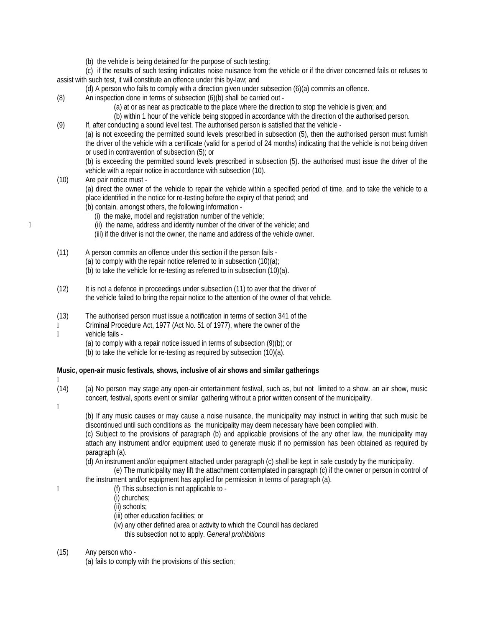(b) the vehicle is being detained for the purpose of such testing;

(c) if the results of such testing indicates noise nuisance from the vehicle or if the driver concerned fails or refuses to assist with such test, it will constitute an offence under this by-law; and

- (d) A person who fails to comply with a direction given under subsection (6)(a) commits an offence.
- (8) An inspection done in terms of subsection (6)(b) shall be carried out
	- (a) at or as near as practicable to the place where the direction to stop the vehicle is given; and
	- (b) within 1 hour of the vehicle being stopped in accordance with the direction of the authorised person.
- (9) If, after conducting a sound level test. The authorised person is satisfied that the vehicle -

(a) is not exceeding the permitted sound levels prescribed in subsection (5), then the authorised person must furnish the driver of the vehicle with a certificate (valid for a period of 24 months) indicating that the vehicle is not being driven or used in contravention of subsection (5); or

(b) is exceeding the permitted sound levels prescribed in subsection (5). the authorised must issue the driver of the vehicle with a repair notice in accordance with subsection (10).

(10) Are pair notice must -

(a) direct the owner of the vehicle to repair the vehicle within a specified period of time, and to take the vehicle to a place identified in the notice for re-testing before the expiry of that period; and

- (b) contain. amongst others, the following information
	- (i) the make, model and registration number of the vehicle;
- (ii) the name, address and identity number of the driver of the vehicle; and
	- (iii) if the driver is not the owner, the name and address of the vehicle owner.
	- (11) A person commits an offence under this section if the person fails
		- (a) to comply with the repair notice referred to in subsection (10)(a);
		- (b) to take the vehicle for re-testing as referred to in subsection (10)(a).
	- (12) It is not a defence in proceedings under subsection (11) to aver that the driver of the vehicle failed to bring the repair notice to the attention of the owner of that vehicle.
	- (13) The authorised person must issue a notification in terms of section 341 of the
	- Criminal Procedure Act, 1977 (Act No. 51 of 1977), where the owner of the
	- vehicle fails
		- (a) to comply with a repair notice issued in terms of subsection (9)(b); or
		- (b) to take the vehicle for re-testing as required by subsection (10)(a).

# **Music, open-air music festivals, shows, inclusive of air shows and similar gatherings**

- $\mathbb{R}$
- (14) (a) No person may stage any open-air entertainment festival, such as, but not limited to a show. an air show, music concert, festival, sports event or similar gathering without a prior written consent of the municipality.
- $\mathbb{R}$

(b) If any music causes or may cause a noise nuisance, the municipality may instruct in writing that such music be discontinued until such conditions as the municipality may deem necessary have been complied with.

(c) Subject to the provisions of paragraph (b) and applicable provisions of the any other law, the municipality may attach any instrument and/or equipment used to generate music if no permission has been obtained as required by paragraph (a).

(d) An instrument and/or equipment attached under paragraph (c) shall be kept in safe custody by the municipality.

(e) The municipality may lift the attachment contemplated in paragraph (c) if the owner or person in control of the instrument and/or equipment has applied for permission in terms of paragraph (a).

- (f) This subsection is not applicable to
	- (i) churches;
	- (ii) schools;
	- (iii) other education facilities; or
	- (iv) any other defined area or activity to which the Council has declared this subsection not to apply. G*eneral prohibitions*
- (15) Any person who
	- (a) fails to comply with the provisions of this section;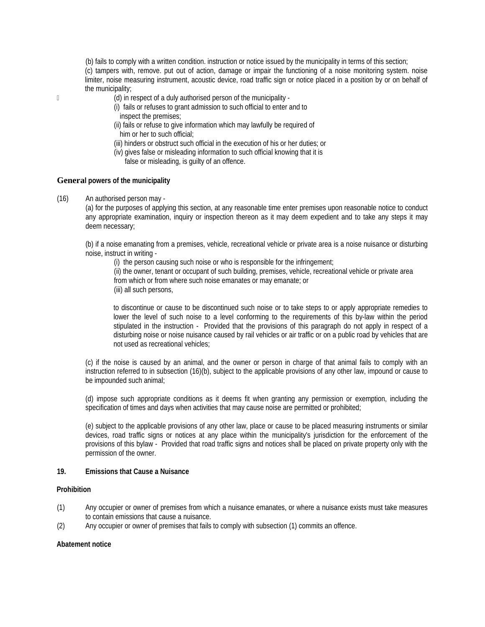(b) fails to comply with a written condition. instruction or notice issued by the municipality in terms of this section; (c) tampers with, remove. put out of action, damage or impair the functioning of a noise monitoring system. noise limiter, noise measuring instrument, acoustic device, road traffic sign or notice placed in a position by or on behalf of the municipality;

- (d) in respect of a duly authorised person of the municipality
	- (i) fails or refuses to grant admission to such official to enter and to inspect the premises;
	- (ii) fails or refuse to give information which may lawfully be required of him or her to such official;
	- (iii) hinders or obstruct such official in the execution of his or her duties; or
	- (iv) gives false or misleading information to such official knowing that it is
		- false or misleading, is guilty of an offence.

#### **General powers of the municipality**

(16) An authorised person may -

(a) for the purposes of applying this section, at any reasonable time enter premises upon reasonable notice to conduct any appropriate examination, inquiry or inspection thereon as it may deem expedient and to take any steps it may deem necessary;

(b) if a noise emanating from a premises, vehicle, recreational vehicle or private area is a noise nuisance or disturbing noise, instruct in writing -

(i) the person causing such noise or who is responsible for the infringement;

 (ii) the owner, tenant or occupant of such building, premises, vehicle, recreational vehicle or private area from which or from where such noise emanates or may emanate; or

(iii) all such persons,

to discontinue or cause to be discontinued such noise or to take steps to or apply appropriate remedies to lower the level of such noise to a level conforming to the requirements of this by-law within the period stipulated in the instruction - Provided that the provisions of this paragraph do not apply in respect of a disturbing noise or noise nuisance caused by rail vehicles or air traffic or on a public road by vehicles that are not used as recreational vehicles;

(c) if the noise is caused by an animal, and the owner or person in charge of that animal fails to comply with an instruction referred to in subsection (16)(b), subject to the applicable provisions of any other law, impound or cause to be impounded such animal;

(d) impose such appropriate conditions as it deems fit when granting any permission or exemption, including the specification of times and days when activities that may cause noise are permitted or prohibited;

(e) subject to the applicable provisions of any other law, place or cause to be placed measuring instruments or similar devices, road traffic signs or notices at any place within the municipality's jurisdiction for the enforcement of the provisions of this bylaw - Provided that road traffic signs and notices shall be placed on private property only with the permission of the owner.

# **19. Emissions that Cause a Nuisance**

#### **Prohibition**

- (1) Any occupier or owner of premises from which a nuisance emanates, or where a nuisance exists must take measures to contain emissions that cause a nuisance.
- (2) Any occupier or owner of premises that fails to comply with subsection (1) commits an offence.

#### **Abatement notice**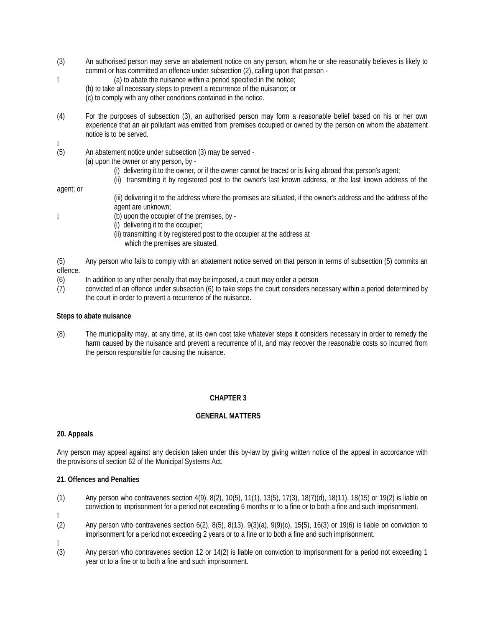- (3) An authorised person may serve an abatement notice on any person, whom he or she reasonably believes is likely to commit or has committed an offence under subsection (2), calling upon that person -
- (a) to abate the nuisance within a period specified in the notice;
	- (b) to take all necessary steps to prevent a recurrence of the nuisance; or
	- (c) to comply with any other conditions contained in the notice.
- (4) For the purposes of subsection (3), an authorised person may form a reasonable belief based on his or her own experience that an air pollutant was emitted from premises occupied or owned by the person on whom the abatement notice is to be served.
- $\mathbb{R}$
- (5) An abatement notice under subsection (3) may be served
	- (a) upon the owner or any person, by
		- (i) delivering it to the owner, or if the owner cannot be traced or is living abroad that person's agent;
		- (ii) transmitting it by registered post to the owner's last known address, or the last known address of the

# agent; or

- (iii) delivering it to the address where the premises are situated, if the owner's address and the address of the agent are unknown;
- (b) upon the occupier of the premises, by
	- (i) delivering it to the occupier;
	- (ii) transmitting it by registered post to the occupier at the address at which the premises are situated.
- (5) Any person who fails to comply with an abatement notice served on that person in terms of subsection (5) commits an offence.
- (6) In addition to any other penalty that may be imposed, a court may order a person
- (7) convicted of an offence under subsection (6) to take steps the court considers necessary within a period determined by the court in order to prevent a recurrence of the nuisance.

# **Steps to abate nuisance**

(8) The municipality may, at any time, at its own cost take whatever steps it considers necessary in order to remedy the harm caused by the nuisance and prevent a recurrence of it, and may recover the reasonable costs so incurred from the person responsible for causing the nuisance.

# **CHAPTER 3**

# **GENERAL MATTERS**

# **20. Appeals**

Any person may appeal against any decision taken under this by-law by giving written notice of the appeal in accordance with the provisions of section 62 of the Municipal Systems Act.

# **21. Offences and Penalties**

- (1) Any person who contravenes section 4(9), 8(2), 10(5), 11(1), 13(5), 17(3), 18(7)(d), 18(11), 18(15) or 19(2) is liable on conviction to imprisonment for a period not exceeding 6 months or to a fine or to both a fine and such imprisonment.
- $\mathbb{R}$
- (2) Any person who contravenes section 6(2), 8(5), 8(13), 9(3)(a), 9(9)(c), 15{5), 16(3) or 19(6) is liable on conviction to imprisonment for a period not exceeding 2 years or to a fine or to both a fine and such imprisonment.
- $\Box$
- (3) Any person who contravenes section 12 or 14(2) is liable on conviction to imprisonment for a period not exceeding 1 year or to a fine or to both a fine and such imprisonment.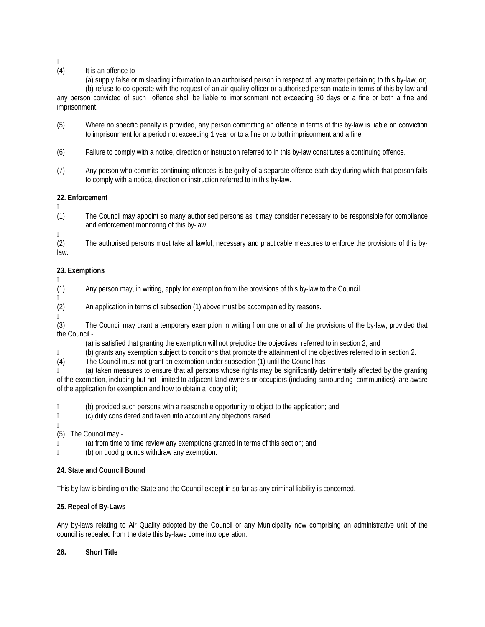$\mathbb{R}$ 

# (4) It is an offence to -

(a) supply false or misleading information to an authorised person in respect of any matter pertaining to this by-law, or;

(b) refuse to co-operate with the request of an air quality officer or authorised person made in terms of this by-law and any person convicted of such offence shall be liable to imprisonment not exceeding 30 days or a fine or both a fine and imprisonment.

- (5) Where no specific penalty is provided, any person committing an offence in terms of this by-law is liable on conviction to imprisonment for a period not exceeding 1 year or to a fine or to both imprisonment and a fine.
- (6) Failure to comply with a notice, direction or instruction referred to in this by-law constitutes a continuing offence.
- (7) Any person who commits continuing offences is be guilty of a separate offence each day during which that person fails to comply with a notice, direction or instruction referred to in this by-law.

# **22. Enforcement**

 $\Box$ (1) The Council may appoint so many authorised persons as it may consider necessary to be responsible for compliance and enforcement monitoring of this by-law.

(2) The authorised persons must take all lawful, necessary and practicable measures to enforce the provisions of this bylaw.

# **23. Exemptions**

 $\mathbb{R}$ 

 $\mathbb{R}$ 

(1) Any person may, in writing, apply for exemption from the provisions of this by-law to the Council.

- (2) An application in terms of subsection (1) above must be accompanied by reasons.
- $\mathbb{R}$

 $\mathbb{R}$ 

(3) The Council may grant a temporary exemption in writing from one or all of the provisions of the by-law, provided that the Council -

(a) is satisfied that granting the exemption will not prejudice the objectives referred to in section 2; and

(b) grants any exemption subject to conditions that promote the attainment of the objectives referred to in section 2.

(4) The Council must not grant an exemption under subsection (1) until the Council has -

 (a) taken measures to ensure that all persons whose rights may be significantly detrimentally affected by the granting of the exemption, including but not limited to adjacent land owners or occupiers (including surrounding communities), are aware of the application for exemption and how to obtain a copy of it;

(b) provided such persons with a reasonable opportunity to object to the application; and

- (c) duly considered and taken into account any objections raised.
- $\mathbb{R}$

(5) The Council may -

(a) from time to time review any exemptions granted in terms of this section; and

(b) on good grounds withdraw any exemption.

# **24. State and Council Bound**

This by-law is binding on the State and the Council except in so far as any criminal liability is concerned.

# **25. Repeal of By-Laws**

Any by-laws relating to Air Quality adopted by the Council or any Municipality now comprising an administrative unit of the council is repealed from the date this by-laws come into operation.

# **26. Short Title**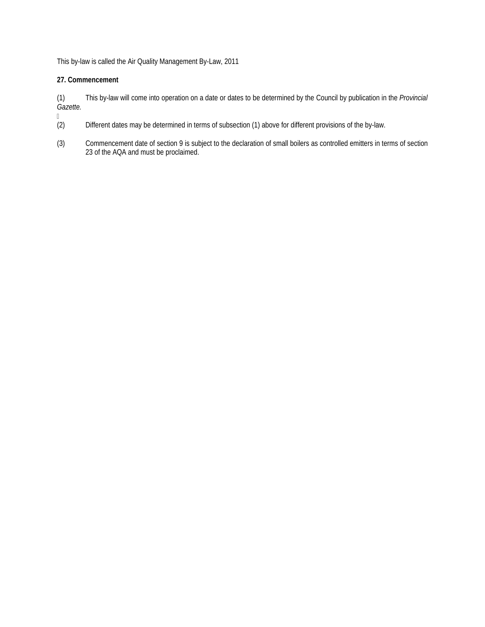This by-law is called the Air Quality Management By-Law, 2011

# **27. Commencement**

(1) This by-law will come into operation on a date or dates to be determined by the Council by publication in the *Provincial Gazette.* 

- $\begin{pmatrix} 2 \end{pmatrix}$ Different dates may be determined in terms of subsection (1) above for different provisions of the by-law.
- (3) Commencement date of section 9 is subject to the declaration of small boilers as controlled emitters in terms of section 23 of the AQA and must be proclaimed.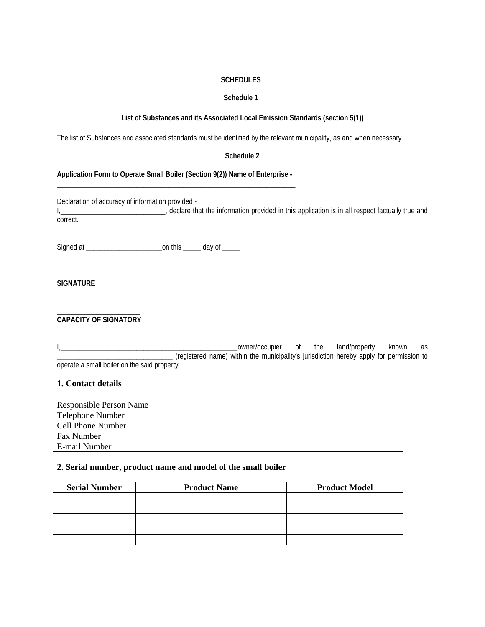# **SCHEDULES**

# **Schedule 1**

# **List of Substances and its Associated Local Emission Standards (section 5(1))**

The list of Substances and associated standards must be identified by the relevant municipality, as and when necessary.

# **Schedule 2**

# **Application Form to Operate Small Boiler (Section 9(2)) Name of Enterprise -** \_\_\_\_\_\_\_\_\_\_\_\_\_\_\_\_\_\_\_\_\_\_\_\_\_\_\_\_\_\_\_\_\_\_\_\_\_\_\_\_\_\_\_\_\_\_\_\_\_\_\_\_\_\_\_\_\_\_\_\_\_\_\_\_\_\_

Declaration of accuracy of information provided -

I<sub>1</sub>\_\_\_\_\_\_\_\_\_\_\_\_\_\_\_\_\_\_\_\_\_\_\_\_\_\_\_\_\_\_, declare that the information provided in this application is in all respect factually true and correct.

Signed at \_\_\_\_\_\_\_\_\_\_\_\_\_\_\_\_\_\_\_\_\_on this \_\_\_\_\_ day of \_\_\_\_\_

\_\_\_\_\_\_\_\_\_\_\_\_\_\_\_\_\_\_\_\_\_\_\_ **SIGNATURE** 

#### \_\_\_\_\_\_\_\_\_\_\_\_\_\_\_\_\_\_\_\_\_\_\_ **CAPACITY OF SIGNATORY**

I,\_\_\_\_\_\_\_\_\_\_\_\_\_\_\_\_\_\_\_\_\_\_\_\_\_\_\_\_\_\_\_\_\_\_\_\_\_\_\_\_\_\_\_\_\_\_\_\_\_owner/occupier of the land/property known as \_\_\_\_\_\_\_\_\_\_\_\_\_\_\_\_\_\_\_\_\_\_\_\_\_\_\_\_\_\_\_\_ (registered name) within the municipality's jurisdiction hereby apply for permission to operate a small boiler on the said property.

# **1. Contact details**

| <b>Responsible Person Name</b> |  |
|--------------------------------|--|
| Telephone Number               |  |
| <b>Cell Phone Number</b>       |  |
| Fax Number                     |  |
| E-mail Number                  |  |

# **2. Serial number, product name and model of the small boiler**

| <b>Serial Number</b> | <b>Product Name</b> | <b>Product Model</b> |
|----------------------|---------------------|----------------------|
|                      |                     |                      |
|                      |                     |                      |
|                      |                     |                      |
|                      |                     |                      |
|                      |                     |                      |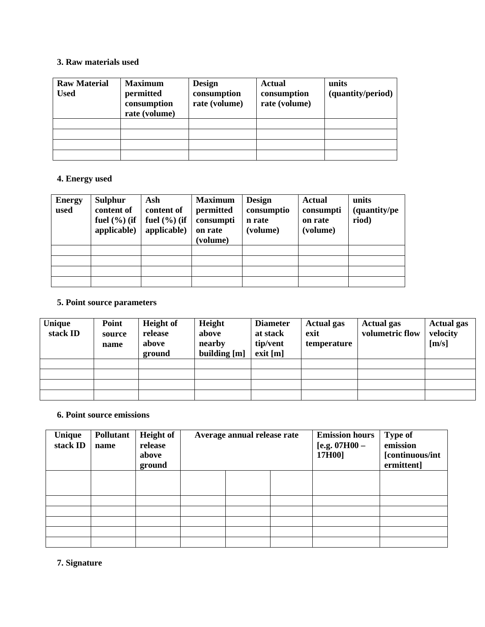# **3. Raw materials used**

| <b>Raw Material</b><br><b>Used</b> | <b>Maximum</b><br>permitted<br>consumption<br>rate (volume) | <b>Design</b><br>consumption<br>rate (volume) | <b>Actual</b><br>consumption<br>rate (volume) | units<br>(quantity/period) |
|------------------------------------|-------------------------------------------------------------|-----------------------------------------------|-----------------------------------------------|----------------------------|
|                                    |                                                             |                                               |                                               |                            |
|                                    |                                                             |                                               |                                               |                            |
|                                    |                                                             |                                               |                                               |                            |
|                                    |                                                             |                                               |                                               |                            |

# **4. Energy used**

| <b>Energy</b><br>used | <b>Sulphur</b><br>content of<br>fuel $(\% )$ (if<br>applicable) | Ash<br>content of<br>fuel $(\%)($ if<br>applicable) | <b>Maximum</b><br>permitted<br>consumpti<br>on rate<br>(volume) | <b>Design</b><br>consumptio<br>n rate<br>(volume) | <b>Actual</b><br>consumpti<br>on rate<br>(volume) | units<br>(quantity/pe<br>riod) |
|-----------------------|-----------------------------------------------------------------|-----------------------------------------------------|-----------------------------------------------------------------|---------------------------------------------------|---------------------------------------------------|--------------------------------|
|                       |                                                                 |                                                     |                                                                 |                                                   |                                                   |                                |
|                       |                                                                 |                                                     |                                                                 |                                                   |                                                   |                                |
|                       |                                                                 |                                                     |                                                                 |                                                   |                                                   |                                |
|                       |                                                                 |                                                     |                                                                 |                                                   |                                                   |                                |

# **5. Point source parameters**

| Unique<br>stack ID | Point<br>source<br>name | <b>Height of</b><br>release<br>above<br>ground | Height<br>above<br>nearby<br>building [m] | <b>Diameter</b><br>at stack<br>tip/vent<br>exit [m] | <b>Actual gas</b><br>exit<br>temperature | <b>Actual gas</b><br>volumetric flow | <b>Actual gas</b><br>velocity<br>[m/s] |
|--------------------|-------------------------|------------------------------------------------|-------------------------------------------|-----------------------------------------------------|------------------------------------------|--------------------------------------|----------------------------------------|
|                    |                         |                                                |                                           |                                                     |                                          |                                      |                                        |
|                    |                         |                                                |                                           |                                                     |                                          |                                      |                                        |
|                    |                         |                                                |                                           |                                                     |                                          |                                      |                                        |
|                    |                         |                                                |                                           |                                                     |                                          |                                      |                                        |

# **6. Point source emissions**

| Unique<br>stack ID | <b>Pollutant</b><br>name | <b>Height of</b><br>release<br>above<br>ground | Average annual release rate |  | <b>Emission hours</b><br>[e.g. $07H00 -$<br>17H00] | <b>Type of</b><br>emission<br>[continuous/int<br>ermittent] |  |
|--------------------|--------------------------|------------------------------------------------|-----------------------------|--|----------------------------------------------------|-------------------------------------------------------------|--|
|                    |                          |                                                |                             |  |                                                    |                                                             |  |
|                    |                          |                                                |                             |  |                                                    |                                                             |  |
|                    |                          |                                                |                             |  |                                                    |                                                             |  |
|                    |                          |                                                |                             |  |                                                    |                                                             |  |
|                    |                          |                                                |                             |  |                                                    |                                                             |  |
|                    |                          |                                                |                             |  |                                                    |                                                             |  |

**7. Signature**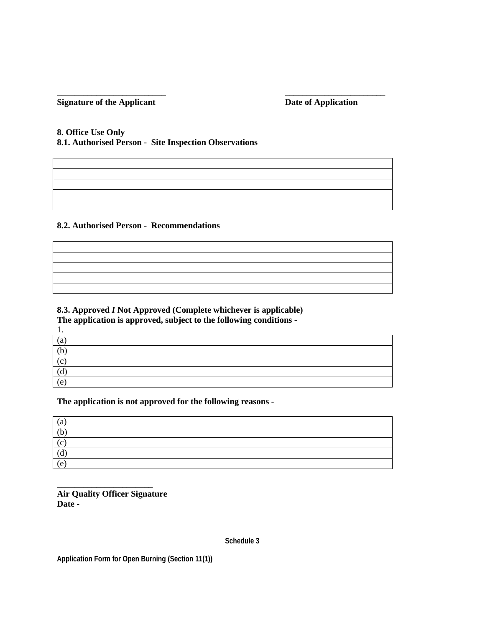# **\_\_\_\_\_\_\_\_\_\_\_\_\_\_\_\_\_\_\_\_\_\_\_\_\_ \_\_\_\_\_\_\_\_\_\_\_\_\_\_\_\_\_\_\_\_\_\_\_ Signature of the Applicant Date of Application Date of Application**

# **8. Office Use Only**

**8.1. Authorised Person - Site Inspection Observations** 

# **8.2. Authorised Person - Recommendations**

# **8.3. Approved** *I* **Not Approved (Complete whichever is applicable)**

**The application is approved, subject to the following conditions -** 

| . .                        |  |  |  |
|----------------------------|--|--|--|
| $\left( \mathrm{a}\right)$ |  |  |  |
| (b)                        |  |  |  |
| (c)                        |  |  |  |
| (d)                        |  |  |  |
| (e,                        |  |  |  |

# **The application is not approved for the following reasons -**

| $\left( \text{a} \right)$ |  |
|---------------------------|--|
| (b)                       |  |
| (c)                       |  |
| (d)                       |  |
| (e)                       |  |

**Air Quality Officer Signature Date -**

\_\_\_\_\_\_\_\_\_\_\_\_\_\_\_\_\_\_\_\_\_\_

**Schedule 3**

**Application Form for Open Burning (Section 11(1))**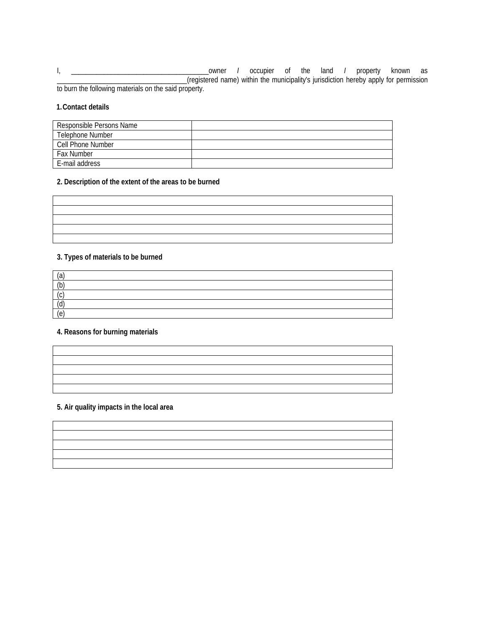I, \_\_\_\_\_\_\_\_\_\_\_\_\_\_\_\_\_\_\_\_\_\_\_\_\_\_\_\_\_\_\_\_\_\_\_\_\_\_owner *I* occupier of the land *I* property known as \_\_\_\_\_\_\_\_\_\_\_\_\_\_\_\_\_\_\_\_\_\_\_\_\_\_\_\_\_\_\_\_\_\_\_\_(registered name) within the municipality's jurisdiction hereby apply for permission to burn the following materials on the said property.

# **1.Contact details**

| Responsible Persons Name |  |
|--------------------------|--|
| Telephone Number         |  |
| Cell Phone Number        |  |
| <b>Fax Number</b>        |  |
| E-mail address           |  |

# **2. Description of the extent of the areas to be burned**

# **3. Types of materials to be burned**

| (a                  |  |  |
|---------------------|--|--|
| (b)                 |  |  |
| $\sqrt{2}$<br>. U   |  |  |
| $\mathsf{Q}$<br>, u |  |  |
| (e                  |  |  |

#### **4. Reasons for burning materials**

# **5. Air quality impacts in the local area**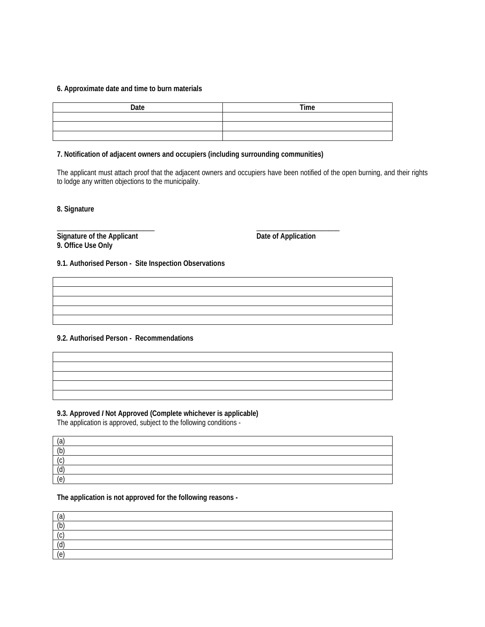# **6. Approximate date and time to burn materials**

| Date | Time |
|------|------|
|      |      |
|      |      |
|      |      |

# **7. Notification of adjacent owners and occupiers (including surrounding communities)**

The applicant must attach proof that the adjacent owners and occupiers have been notified of the open burning, and their rights to lodge any written objections to the municipality.

**8. Signature** 

\_\_\_\_\_\_\_\_\_\_\_\_\_\_\_\_\_\_\_\_\_\_\_\_\_\_\_ \_\_\_\_\_\_\_\_\_\_\_\_\_\_\_\_\_\_\_\_\_\_\_ **Signature of the Applicant Contract Contract Contract Contract Date of Application 9. Office Use Only** 

# **9.1. Authorised Person - Site Inspection Observations**

# **9.2. Authorised Person - Recommendations**

# **9.3. Approved** *I* **Not Approved (Complete whichever is applicable)**

The application is approved, subject to the following conditions -

| (a)        |  |
|------------|--|
| (b)        |  |
| (c)        |  |
| $\sqrt{d}$ |  |
| (e)        |  |

# **The application is not approved for the following reasons -**

| (ว่             |  |  |  |
|-----------------|--|--|--|
| (b)             |  |  |  |
| $\sim$          |  |  |  |
| $\mathsf{Q}$    |  |  |  |
| $\sqrt{a}$<br>◟ |  |  |  |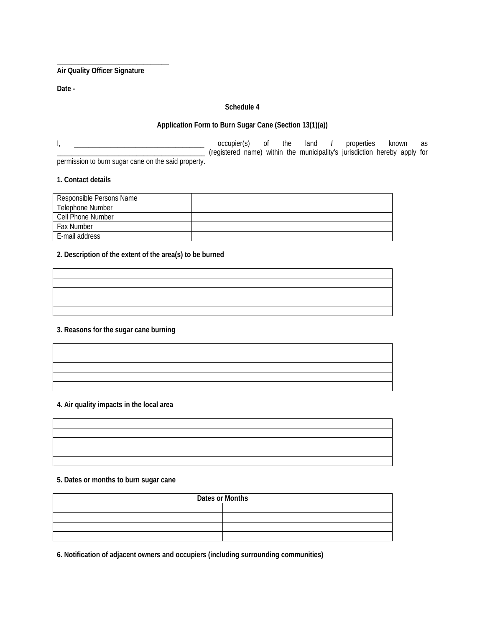**Air Quality Officer Signature** 

**\_\_\_\_\_\_\_\_\_\_\_\_\_\_\_\_\_\_\_\_\_\_\_\_\_\_\_\_\_\_\_**

**Date -** 

# **Schedule 4**

# **Application Form to Burn Sugar Cane (Section 13(1)(a))**

I, \_\_\_\_\_\_\_\_\_\_\_\_\_\_\_\_\_\_\_\_\_\_\_\_\_\_\_\_\_\_\_\_\_\_\_\_ occupier(s) of the land *I* properties known as \_\_\_\_\_\_\_\_\_\_\_\_\_\_\_\_\_\_\_\_\_\_\_\_\_\_\_\_\_\_\_\_\_\_\_\_\_\_\_\_\_ (registered name) within the municipality's jurisdiction hereby apply for permission to burn sugar cane on the said property.

**1. Contact details** 

| Responsible Persons Name |  |
|--------------------------|--|
| Telephone Number         |  |
| Cell Phone Number        |  |
| <b>Fax Number</b>        |  |
| E-mail address           |  |

# **2. Description of the extent of the area(s) to be burned**

| <u> 1989 - Andrea Santa Andrea Andrea Andrea Andrea Andrea Andrea Andrea Andrea Andrea Andrea Andrea Andrea Andr</u> |  | the contract of the contract of the contract of                                                                       |
|----------------------------------------------------------------------------------------------------------------------|--|-----------------------------------------------------------------------------------------------------------------------|
|                                                                                                                      |  |                                                                                                                       |
|                                                                                                                      |  | <u> 2008 - Ann an Cathrachas Ann an Company ann an Cathrachas ann an Cathrachas ann an Cathrachas ann an Cathrach</u> |
|                                                                                                                      |  |                                                                                                                       |

# **3. Reasons for the sugar cane burning**

**4. Air quality impacts in the local area**

| and the contract of the contract of the contract of the contract of the contract of the contract of the contract of |  |
|---------------------------------------------------------------------------------------------------------------------|--|
|                                                                                                                     |  |
|                                                                                                                     |  |
|                                                                                                                     |  |
|                                                                                                                     |  |
|                                                                                                                     |  |
|                                                                                                                     |  |
|                                                                                                                     |  |
|                                                                                                                     |  |
|                                                                                                                     |  |

# **5. Dates or months to burn sugar cane**

| Dates or Months |  |  |  |  |
|-----------------|--|--|--|--|
|                 |  |  |  |  |
|                 |  |  |  |  |
|                 |  |  |  |  |
|                 |  |  |  |  |

**6. Notification of adjacent owners and occupiers (including surrounding communities)**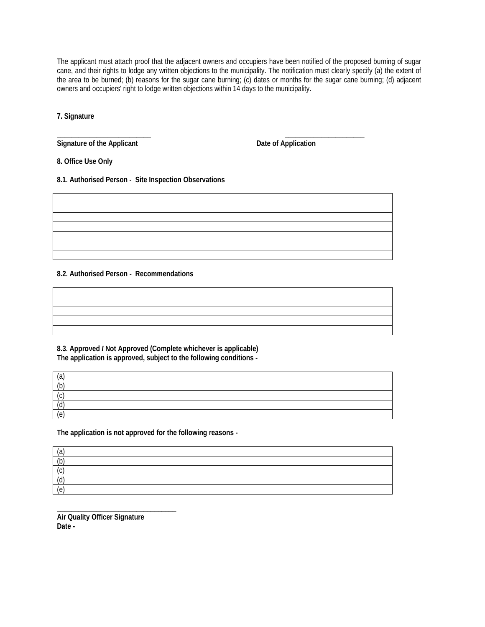The applicant must attach proof that the adjacent owners and occupiers have been notified of the proposed burning of sugar cane, and their rights to lodge any written objections to the municipality. The notification must clearly specify (a) the extent of the area to be burned; (b) reasons for the sugar cane burning; (c) dates or months for the sugar cane burning; (d) adjacent owners and occupiers' right to lodge written objections within 14 days to the municipality.

**7. Signature** 

**\_\_\_\_\_\_\_\_\_\_\_\_\_\_\_\_\_\_\_\_\_\_\_\_\_\_ \_\_\_\_\_\_\_\_\_\_\_\_\_\_\_\_\_\_\_\_\_\_** Signature of the Applicant **Date of Application Date of Application** 

**8. Office Use Only** 

**8.1. Authorised Person - Site Inspection Observations** 

**8.2. Authorised Person - Recommendations** 

**8.3. Approved** *I* **Not Approved (Complete whichever is applicable) The application is approved, subject to the following conditions -** 

| (a              |  |  |  |
|-----------------|--|--|--|
| (b)             |  |  |  |
| $\sqrt{2}$      |  |  |  |
| (h)<br>  (U)    |  |  |  |
| $\sqrt{a}$<br>U |  |  |  |

**The application is not approved for the following reasons -** 

| ר ו<br>ιa           |  |  |  |
|---------------------|--|--|--|
| /h<br>៶⊾            |  |  |  |
|                     |  |  |  |
| $\mathsf{M}'$<br>7a |  |  |  |
| '۵<br>U             |  |  |  |

\_\_\_\_\_\_\_\_\_\_\_\_\_\_\_\_\_\_\_\_\_\_\_\_\_\_\_\_\_\_\_\_\_ **Air Quality Officer Signature Date -**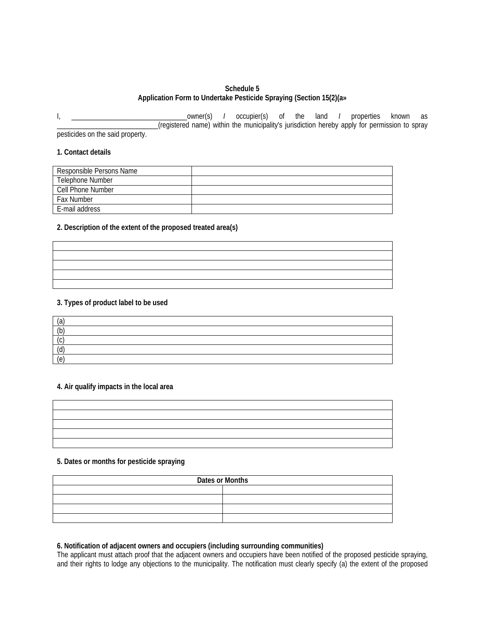# **Schedule 5 Application Form to Undertake Pesticide Spraying (Section 15(2)(a»**

I, \_\_\_\_\_\_\_\_\_\_\_\_\_\_\_\_\_\_\_\_\_\_\_\_\_\_\_\_\_\_\_\_owner(s) *I* occupier(s) of the land *I* properties known as \_\_\_\_\_\_\_\_\_\_\_\_\_\_\_\_\_\_\_\_\_\_\_\_\_\_\_\_(registered name) within the municipality's jurisdiction hereby apply for permission to spray pesticides on the said property.

#### **1. Contact details**

| Responsible Persons Name |  |
|--------------------------|--|
| Telephone Number         |  |
| Cell Phone Number        |  |
| <b>Fax Number</b>        |  |
| E-mail address           |  |

#### **2. Description of the extent of the proposed treated area(s)**

# **3. Types of product label to be used**

| (a  |  |  |
|-----|--|--|
| (h) |  |  |
|     |  |  |
| (Υ, |  |  |
| ' 0 |  |  |

# **4. Air qualify impacts in the local area**

| <u> 1989 - Ann an Dùbhlachd ann an Dùbhlachd ann an Dùbhlachd ann an Dùbhlachd ann an Dùbhlachd ann an Dùbhlachd a</u> |  |  |  |
|------------------------------------------------------------------------------------------------------------------------|--|--|--|
| <u> 1999 - Ann an Dùbhlachd ann an Dùbhlachd ann an Dùbhlachd ann an Dùbhlachd ann an Dùbhlachd ann an Dùbhlachd a</u> |  |  |  |
| <u> 1989 - Ann an Dùbhlachd ann an Dùbhlachd ann an Dùbhlachd ann an Dùbhlachd ann an Dùbhlachd ann an Dùbhlachd a</u> |  |  |  |
| <u> 1999 - Ann an Dùbhlachd ann an Dùbhlachd ann an Dùbhlachd ann an Dùbhlachd ann an Dùbhlachd ann an Dùbhlachd a</u> |  |  |  |
| <u> 1988 - Ann an Dùbhlachd ann an Dùbhlachd ann an Dùbhlachd ann an Dùbhlachd ann an Dùbhlachd ann an Dùbhlachd a</u> |  |  |  |
|                                                                                                                        |  |  |  |

# **5. Dates or months for pesticide spraying**

| Dates or Months |  |  |  |  |
|-----------------|--|--|--|--|
|                 |  |  |  |  |
|                 |  |  |  |  |
|                 |  |  |  |  |
|                 |  |  |  |  |

# **6. Notification of adjacent owners and occupiers (including surrounding communities)**

The applicant must attach proof that the adjacent owners and occupiers have been notified of the proposed pesticide spraying, and their rights to lodge any objections to the municipality. The notification must clearly specify (a) the extent of the proposed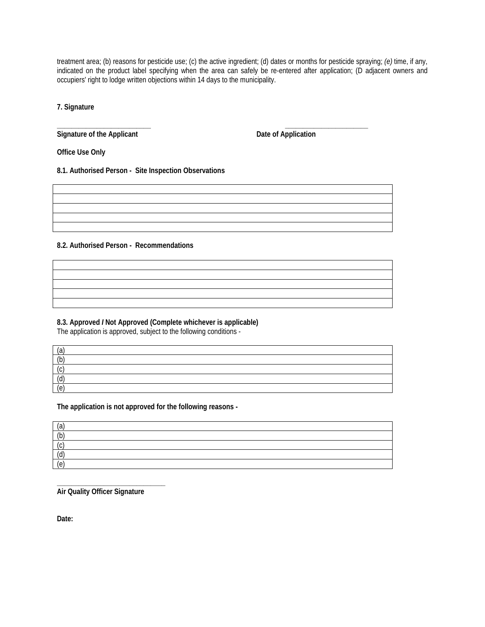treatment area; (b) reasons for pesticide use; (c) the active ingredient; (d) dates or months for pesticide spraying; *(e)* time, if any, indicated on the product label specifying when the area can safely be re-entered after application; (D adjacent owners and occupiers' right to lodge written objections within 14 days to the municipality.

**7. Signature** 

**\_\_\_\_\_\_\_\_\_\_\_\_\_\_\_\_\_\_\_\_\_\_\_\_\_\_ \_\_\_\_\_\_\_\_\_\_\_\_\_\_\_\_\_\_\_\_\_\_\_** Signature of the Applicant **Date of Application Date of Application** 

**Office Use Only** 

**8.1. Authorised Person - Site Inspection Observations** 

**8.2. Authorised Person - Recommendations** 

**8.3. Approved** *I* **Not Approved (Complete whichever is applicable)** 

The application is approved, subject to the following conditions -

| (a)              |  |  |
|------------------|--|--|
| $\overline{(b)}$ |  |  |
| (r)<br>l (Y      |  |  |
| $\mid$ (d)       |  |  |
| (e)              |  |  |

**The application is not approved for the following reasons -** 

| (a               |  |
|------------------|--|
| (b)              |  |
| $\sqrt{c}$<br>∖∽ |  |
| (d)              |  |
| (e)              |  |

**\_\_\_\_\_\_\_\_\_\_\_\_\_\_\_\_\_\_\_\_\_\_\_\_\_\_\_\_\_\_ Air Quality Officer Signature** 

**Date:**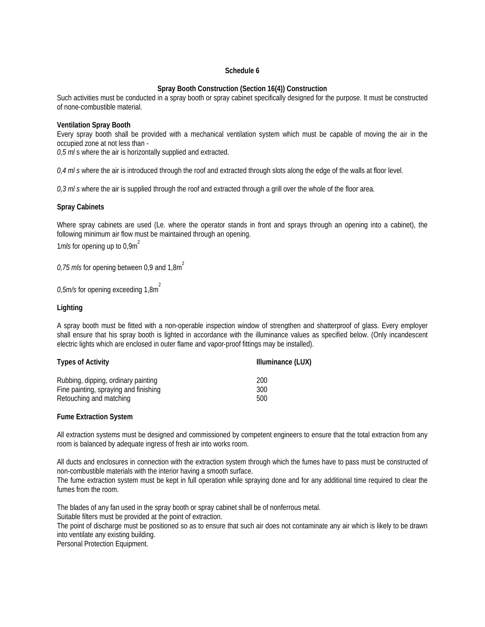# **Schedule 6**

# **Spray Booth Construction (Section 16(4)) Construction**

Such activities must be conducted in a spray booth or spray cabinet specifically designed for the purpose. It must be constructed of none-combustible material.

# **Ventilation Spray Booth**

Every spray booth shall be provided with a mechanical ventilation system which must be capable of moving the air in the occupied zone at not less than -

*0,5 ml* s where the air is horizontally supplied and extracted.

*0,4 ml s* where the air is introduced through the roof and extracted through slots along the edge of the walls at floor level.

*0,3 ml s* where the air is supplied through the roof and extracted through a grill over the whole of the floor area.

# **Spray Cabinets**

Where spray cabinets are used (Le. where the operator stands in front and sprays through an opening into a cabinet), the following minimum air flow must be maintained through an opening.

1*mls* for opening up to 0,9m<sup>2</sup>

0,75 m/s for opening between 0,9 and  $1.8m<sup>2</sup>$ 

0,5m/s for opening exceeding 1,8m<sup>2</sup>

# **Lighting**

A spray booth must be fitted with a non-operable inspection window of strengthen and shatterproof of glass. Every employer shall ensure that his spray booth is lighted in accordance with the illuminance values as specified below. (Only incandescent electric lights which are enclosed in outer flame and vapor-proof fittings may be installed).

| <b>Types of Activity</b>              | Illuminance (LUX) |
|---------------------------------------|-------------------|
| Rubbing, dipping, ordinary painting   | 200               |
| Fine painting, spraying and finishing | 300               |
| Retouching and matching               | 500               |

#### **Fume Extraction System**

All extraction systems must be designed and commissioned by competent engineers to ensure that the total extraction from any room is balanced by adequate ingress of fresh air into works room.

All ducts and enclosures in connection with the extraction system through which the fumes have to pass must be constructed of non-combustible materials with the interior having a smooth surface.

The fume extraction system must be kept in full operation while spraying done and for any additional time required to clear the fumes from the room.

The blades of any fan used in the spray booth or spray cabinet shall be of nonferrous metal.

Suitable filters must be provided at the point of extraction.

The point of discharge must be positioned so as to ensure that such air does not contaminate any air which is likely to be drawn into ventilate any existing building.

Personal Protection Equipment.